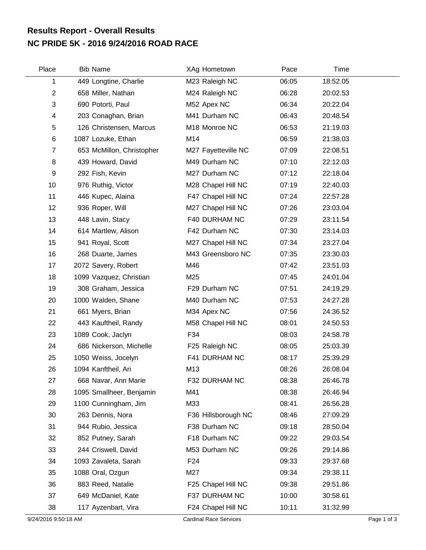## **NC PRIDE 5K - 2016 9/24/2016 ROAD RACE Results Report - Overall Results**

| Place          | <b>Bib Name</b>           | XAg Hometown        | Pace  | Time     |  |
|----------------|---------------------------|---------------------|-------|----------|--|
| 1              | 449 Longtine, Charlie     | M23 Raleigh NC      | 06:05 | 18:52.05 |  |
| $\overline{2}$ | 658 Miller, Nathan        | M24 Raleigh NC      | 06:28 | 20:02.53 |  |
| 3              | 690 Potorti, Paul         | M52 Apex NC         | 06:34 | 20:22.04 |  |
| 4              | 203 Conaghan, Brian       | M41 Durham NC       | 06:43 | 20:48.54 |  |
| 5              | 126 Christensen, Marcus   | M18 Monroe NC       | 06:53 | 21:19.03 |  |
| 6              | 1087 Lozuke, Ethan        | M14                 | 06:59 | 21:38.03 |  |
| 7              | 653 McMillon, Christopher | M27 Fayetteville NC | 07:09 | 22:08.51 |  |
| 8              | 439 Howard, David         | M49 Durham NC       | 07:10 | 22:12.03 |  |
| 9              | 292 Fish, Kevin           | M27 Durham NC       | 07:12 | 22:18.04 |  |
| 10             | 976 Ruthig, Victor        | M28 Chapel Hill NC  | 07:19 | 22:40.03 |  |
| 11             | 446 Kupec, Alaina         | F47 Chapel Hill NC  | 07:24 | 22:57.28 |  |
| 12             | 936 Roper, Will           | M27 Chapel Hill NC  | 07:26 | 23:03.04 |  |
| 13             | 448 Lavin, Stacy          | F40 DURHAM NC       | 07:29 | 23:11.54 |  |
| 14             | 614 Martlew, Alison       | F42 Durham NC       | 07:30 | 23:14.03 |  |
| 15             | 941 Royal, Scott          | M27 Chapel Hill NC  | 07:34 | 23:27.04 |  |
| 16             | 268 Duarte, James         | M43 Greensboro NC   | 07:35 | 23:30.03 |  |
| 17             | 2072 Savery, Robert       | M46                 | 07:42 | 23:51.03 |  |
| 18             | 1099 Vazquez, Christian   | M25                 | 07:45 | 24:01.04 |  |
| 19             | 308 Graham, Jessica       | F29 Durham NC       | 07:51 | 24:19.29 |  |
| 20             | 1000 Walden, Shane        | M40 Durham NC       | 07:53 | 24:27.28 |  |
| 21             | 661 Myers, Brian          | M34 Apex NC         | 07:56 | 24:36.52 |  |
| 22             | 443 Kauftheil, Randy      | M58 Chapel Hill NC  | 08:01 | 24:50.53 |  |
| 23             | 1089 Cook, Jaclyn         | F34                 | 08:03 | 24:58.78 |  |
| 24             | 686 Nickerson, Michelle   | F25 Raleigh NC      | 08:05 | 25:03.39 |  |
| 25             | 1050 Weiss, Jocelyn       | F41 DURHAM NC       | 08:17 | 25:39.29 |  |
| 26             | 1094 Kanftheil, Ari       | M13                 | 08:26 | 26:08.04 |  |
| 27             | 668 Navar, Ann Marie      | F32 DURHAM NC       | 08:38 | 26:46.78 |  |
| 28             | 1095 Smallheer, Benjamin  | M41                 | 08:38 | 26:46.94 |  |
| 29             | 1100 Cunningham, Jim      | M33                 | 08:41 | 26:56.28 |  |
| 30             | 263 Dennis, Nora          | F36 Hillsborough NC | 08:46 | 27:09.29 |  |
| 31             | 944 Rubio, Jessica        | F38 Durham NC       | 09:18 | 28:50.04 |  |
| 32             | 852 Putney, Sarah         | F18 Durham NC       | 09:22 | 29:03.54 |  |
| 33             | 244 Criswell, David       | M53 Durham NC       | 09:26 | 29:14.86 |  |
| 34             | 1093 Zavaleta, Sarah      | F <sub>24</sub>     | 09:33 | 29:37.68 |  |
| 35             | 1088 Oral, Ozgun          | M27                 | 09:34 | 29:38.11 |  |
| 36             | 883 Reed, Natalie         | F25 Chapel Hill NC  | 09:38 | 29:51.86 |  |
| 37             | 649 McDaniel, Kate        | F37 DURHAM NC       | 10:00 | 30:58.61 |  |
| 38             | 117 Ayzenbart, Vira       | F24 Chapel Hill NC  | 10:11 | 31:32.99 |  |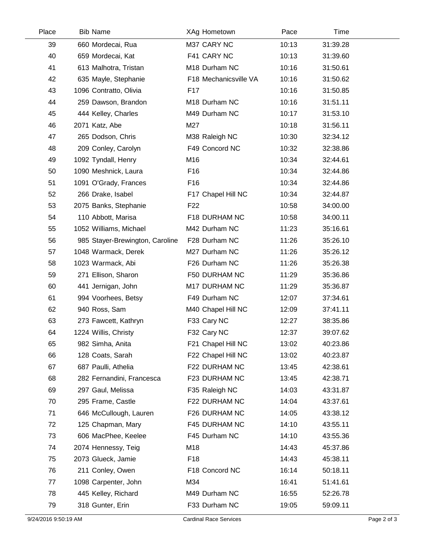| Place | <b>Bib Name</b>                 | XAg Hometown          | Pace  | Time     |
|-------|---------------------------------|-----------------------|-------|----------|
| 39    | 660 Mordecai, Rua               | M37 CARY NC           | 10:13 | 31:39.28 |
| 40    | 659 Mordecai, Kat               | F41 CARY NC           | 10:13 | 31:39.60 |
| 41    | 613 Malhotra, Tristan           | M18 Durham NC         | 10:16 | 31:50.61 |
| 42    | 635 Mayle, Stephanie            | F18 Mechanicsville VA | 10:16 | 31:50.62 |
| 43    | 1096 Contratto, Olivia          | F <sub>17</sub>       | 10:16 | 31:50.85 |
| 44    | 259 Dawson, Brandon             | M18 Durham NC         | 10:16 | 31:51.11 |
| 45    | 444 Kelley, Charles             | M49 Durham NC         | 10:17 | 31:53.10 |
| 46    | 2071 Katz, Abe                  | M27                   | 10:18 | 31:56.11 |
| 47    | 265 Dodson, Chris               | M38 Raleigh NC        | 10:30 | 32:34.12 |
| 48    | 209 Conley, Carolyn             | F49 Concord NC        | 10:32 | 32:38.86 |
| 49    | 1092 Tyndall, Henry             | M16                   | 10:34 | 32:44.61 |
| 50    | 1090 Meshnick, Laura            | F16                   | 10:34 | 32:44.86 |
| 51    | 1091 O'Grady, Frances           | F <sub>16</sub>       | 10:34 | 32:44.86 |
| 52    | 266 Drake, Isabel               | F17 Chapel Hill NC    | 10:34 | 32:44.87 |
| 53    | 2075 Banks, Stephanie           | F <sub>22</sub>       | 10:58 | 34:00.00 |
| 54    | 110 Abbott, Marisa              | F18 DURHAM NC         | 10:58 | 34:00.11 |
| 55    | 1052 Williams, Michael          | M42 Durham NC         | 11:23 | 35:16.61 |
| 56    | 985 Stayer-Brewington, Caroline | F28 Durham NC         | 11:26 | 35:26.10 |
| 57    | 1048 Warmack, Derek             | M27 Durham NC         | 11:26 | 35:26.12 |
| 58    | 1023 Warmack, Abi               | F26 Durham NC         | 11:26 | 35:26.38 |
| 59    | 271 Ellison, Sharon             | F50 DURHAM NC         | 11:29 | 35:36.86 |
| 60    | 441 Jernigan, John              | M17 DURHAM NC         | 11:29 | 35:36.87 |
| 61    | 994 Voorhees, Betsy             | F49 Durham NC         | 12:07 | 37:34.61 |
| 62    | 940 Ross, Sam                   | M40 Chapel Hill NC    | 12:09 | 37:41.11 |
| 63    | 273 Fawcett, Kathryn            | F33 Cary NC           | 12:27 | 38:35.86 |
| 64    | 1224 Willis, Christy            | F32 Cary NC           | 12:37 | 39:07.62 |
| 65    | 982 Simha, Anita                | F21 Chapel Hill NC    | 13:02 | 40:23.86 |
| 66    | 128 Coats, Sarah                | F22 Chapel Hill NC    | 13:02 | 40:23.87 |
| 67    | 687 Paulli, Athelia             | F22 DURHAM NC         | 13:45 | 42:38.61 |
| 68    | 282 Fernandini, Francesca       | F23 DURHAM NC         | 13:45 | 42:38.71 |
| 69    | 297 Gaul, Melissa               | F35 Raleigh NC        | 14:03 | 43:31.87 |
| 70    | 295 Frame, Castle               | F22 DURHAM NC         | 14:04 | 43:37.61 |
| 71    | 646 McCullough, Lauren          | F26 DURHAM NC         | 14:05 | 43:38.12 |
| 72    | 125 Chapman, Mary               | F45 DURHAM NC         | 14:10 | 43:55.11 |
| 73    | 606 MacPhee, Keelee             | F45 Durham NC         | 14:10 | 43:55.36 |
| 74    | 2074 Hennessy, Teig             | M18                   | 14:43 | 45:37.86 |
| 75    | 2073 Glueck, Jamie              | F <sub>18</sub>       | 14:43 | 45:38.11 |
| 76    | 211 Conley, Owen                | F18 Concord NC        | 16:14 | 50:18.11 |
| 77    | 1098 Carpenter, John            | M34                   | 16:41 | 51:41.61 |
| 78    | 445 Kelley, Richard             | M49 Durham NC         | 16:55 | 52:26.78 |
| 79    | 318 Gunter, Erin                | F33 Durham NC         | 19:05 | 59:09.11 |